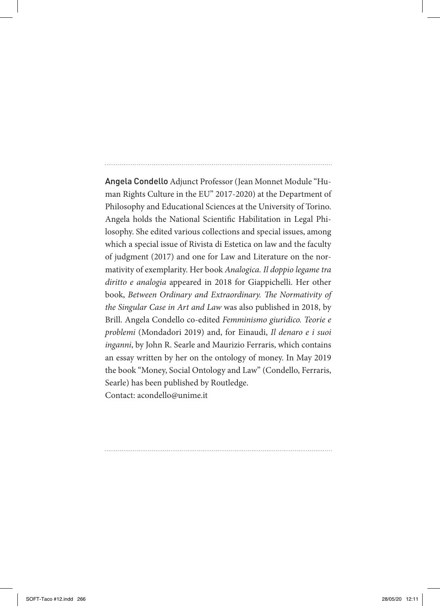Angela Condello Adjunct Professor (Jean Monnet Module "Human Rights Culture in the EU" 2017-2020) at the Department of Philosophy and Educational Sciences at the University of Torino. Angela holds the National Scientific Habilitation in Legal Philosophy. She edited various collections and special issues, among which a special issue of Rivista di Estetica on law and the faculty of judgment (2017) and one for Law and Literature on the normativity of exemplarity. Her book *Analogica. Il doppio legame tra diritto e analogia* appeared in 2018 for Giappichelli. Her other book, *Between Ordinary and Extraordinary. The Normativity of the Singular Case in Art and Law* was also published in 2018, by Brill. Angela Condello co-edited *Femminismo giuridico. Teorie e problemi* (Mondadori 2019) and, for Einaudi, *Il denaro e i suoi inganni*, by John R. Searle and Maurizio Ferraris, which contains an essay written by her on the ontology of money. In May 2019 the book "Money, Social Ontology and Law" (Condello, Ferraris, Searle) has been published by Routledge. Contact: acondello@unime.it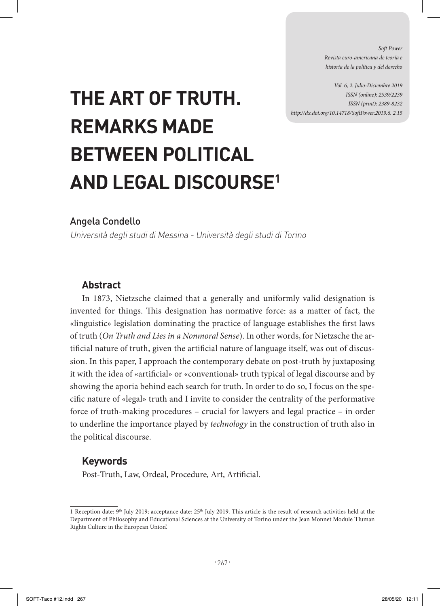*Soft Power Revista euro-americana de teoría e historia de la política y del derecho* 

*Vol. 6, 2. Julio-Diciembre 2019 ISSN (online): 2539/2239 ISSN (print): 2389-8232 http://dx.doi.org/10.14718/SoftPower.2019.6. 2.15*

# **THE ART OF TRUTH. REMARKS MADE BETWEEN POLITICAL AND LEGAL DISCOURSE1**

## Angela Condello

Università degli studi di Messina - Università degli studi di Torino

## **Abstract**

In 1873, Nietzsche claimed that a generally and uniformly valid designation is invented for things. This designation has normative force: as a matter of fact, the «linguistic» legislation dominating the practice of language establishes the first laws of truth (*On Truth and Lies in a Nonmoral Sense*). In other words, for Nietzsche the artificial nature of truth, given the artificial nature of language itself, was out of discussion. In this paper, I approach the contemporary debate on post-truth by juxtaposing it with the idea of «artificial» or «conventional» truth typical of legal discourse and by showing the aporia behind each search for truth. In order to do so, I focus on the specific nature of «legal» truth and I invite to consider the centrality of the performative force of truth-making procedures – crucial for lawyers and legal practice – in order to underline the importance played by *technology* in the construction of truth also in the political discourse.

## **Keywords**

Post-Truth, Law, Ordeal, Procedure, Art, Artificial.

<sup>1</sup> Reception date: 9<sup>th</sup> July 2019; acceptance date: 25<sup>th</sup> July 2019. This article is the result of research activities held at the Department of Philosophy and Educational Sciences at the University of Torino under the Jean Monnet Module 'Human Rights Culture in the European Union'.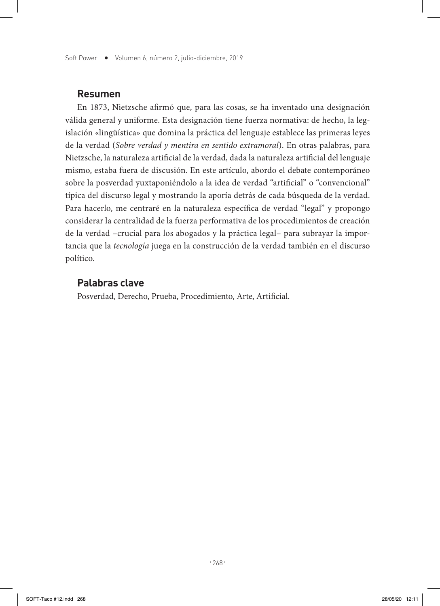Soft Power • Volumen 6, número 2, julio-diciembre, 2019

### **Resumen**

En 1873, Nietzsche afirmó que, para las cosas, se ha inventado una designación válida general y uniforme. Esta designación tiene fuerza normativa: de hecho, la legislación «lingüística» que domina la práctica del lenguaje establece las primeras leyes de la verdad (*Sobre verdad y mentira en sentido extramoral*). En otras palabras, para Nietzsche, la naturaleza artificial de la verdad, dada la naturaleza artificial del lenguaje mismo, estaba fuera de discusión. En este artículo, abordo el debate contemporáneo sobre la posverdad yuxtaponiéndolo a la idea de verdad "artificial" o "convencional" típica del discurso legal y mostrando la aporía detrás de cada búsqueda de la verdad. Para hacerlo, me centraré en la naturaleza específica de verdad "legal" y propongo considerar la centralidad de la fuerza performativa de los procedimientos de creación de la verdad –crucial para los abogados y la práctica legal– para subrayar la importancia que la *tecnología* juega en la construcción de la verdad también en el discurso político.

### **Palabras clave**

Posverdad, Derecho, Prueba, Procedimiento, Arte, Artificial.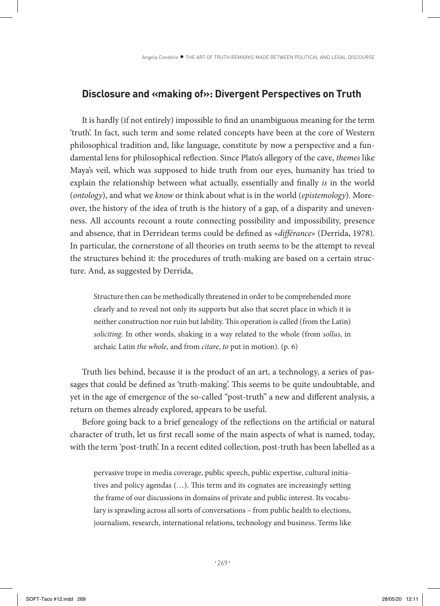#### **Disclosure and «making of»: Divergent Perspectives on Truth**

It is hardly (if not entirely) impossible to find an unambiguous meaning for the term 'truth'. In fact, such term and some related concepts have been at the core of Western philosophical tradition and, like language, constitute by now a perspective and a fundamental lens for philosophical reflection. Since Plato's allegory of the cave, *themes* like Maya's veil, which was supposed to hide truth from our eyes, humanity has tried to explain the relationship between what actually, essentially and finally *is* in the world (*ontology*), and what we *know* or think about what is in the world (*epistemology*). Moreover, the history of the idea of truth is the history of a gap, of a disparity and unevenness. All accounts recount a route connecting possibility and impossibility, presence and absence, that in Derridean terms could be defined as «*différance*» (Derrida, 1978). In particular, the cornerstone of all theories on truth seems to be the attempt to reveal the structures behind it: the procedures of truth-making are based on a certain structure. And, as suggested by Derrida,

Structure then can be methodically threatened in order to be comprehended more clearly and to reveal not only its supports but also that secret place in which it is neither construction nor ruin but lability. This operation is called (from the Latin) *soliciting*. In other words, shaking in a way related to the whole (from *sollus*, in archaic Latin *the whole*, and from *citare*, *to* put in motion). (p. 6)

Truth lies behind, because it is the product of an art, a technology, a series of passages that could be defined as 'truth-making'. This seems to be quite undoubtable, and yet in the age of emergence of the so-called "post-truth" a new and different analysis, a return on themes already explored, appears to be useful.

Before going back to a brief genealogy of the reflections on the artificial or natural character of truth, let us first recall some of the main aspects of what is named, today, with the term 'post-truth'. In a recent edited collection, post-truth has been labelled as a

pervasive trope in media coverage, public speech, public expertise, cultural initiatives and policy agendas (…). This term and its cognates are increasingly setting the frame of our discussions in domains of private and public interest. Its vocabulary is sprawling across all sorts of conversations – from public health to elections, journalism, research, international relations, technology and business. Terms like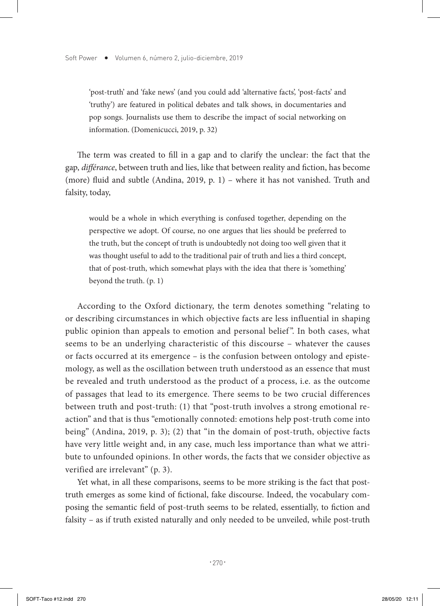'post-truth' and 'fake news' (and you could add 'alternative facts', 'post-facts' and 'truthy') are featured in political debates and talk shows, in documentaries and pop songs. Journalists use them to describe the impact of social networking on information. (Domenicucci, 2019, p. 32)

The term was created to fill in a gap and to clarify the unclear: the fact that the gap, *différance*, between truth and lies, like that between reality and fiction, has become (more) fluid and subtle (Andina, 2019, p. 1) – where it has not vanished. Truth and falsity, today,

would be a whole in which everything is confused together, depending on the perspective we adopt. Of course, no one argues that lies should be preferred to the truth, but the concept of truth is undoubtedly not doing too well given that it was thought useful to add to the traditional pair of truth and lies a third concept, that of post-truth, which somewhat plays with the idea that there is 'something' beyond the truth. (p. 1)

According to the Oxford dictionary, the term denotes something "relating to or describing circumstances in which objective facts are less influential in shaping public opinion than appeals to emotion and personal belief ". In both cases, what seems to be an underlying characteristic of this discourse – whatever the causes or facts occurred at its emergence – is the confusion between ontology and epistemology, as well as the oscillation between truth understood as an essence that must be revealed and truth understood as the product of a process, i.e. as the outcome of passages that lead to its emergence. There seems to be two crucial differences between truth and post-truth: (1) that "post-truth involves a strong emotional reaction" and that is thus "emotionally connoted: emotions help post-truth come into being" (Andina, 2019, p. 3); (2) that "in the domain of post-truth, objective facts have very little weight and, in any case, much less importance than what we attribute to unfounded opinions. In other words, the facts that we consider objective as verified are irrelevant" (p. 3).

Yet what, in all these comparisons, seems to be more striking is the fact that posttruth emerges as some kind of fictional, fake discourse. Indeed, the vocabulary composing the semantic field of post-truth seems to be related, essentially, to fiction and falsity – as if truth existed naturally and only needed to be unveiled, while post-truth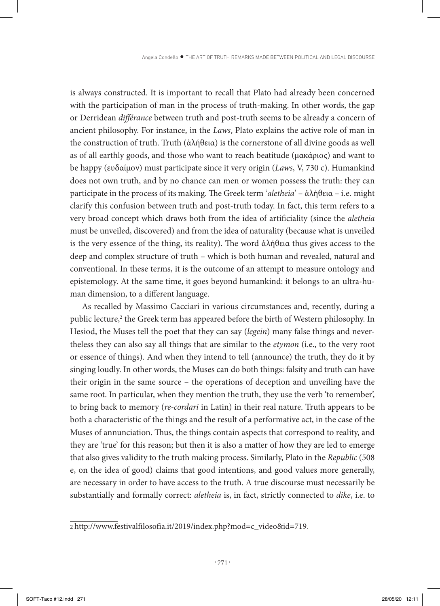is always constructed. It is important to recall that Plato had already been concerned with the participation of man in the process of truth-making. In other words, the gap or Derridean *différance* between truth and post-truth seems to be already a concern of ancient philosophy. For instance, in the *Laws*, Plato explains the active role of man in the construction of truth. Truth (ἀλήθεια) is the cornerstone of all divine goods as well as of all earthly goods, and those who want to reach beatitude (μακάριος) and want to be happy (ευδαίμον) must participate since it very origin (*Laws*, V, 730 c). Humankind does not own truth, and by no chance can men or women possess the truth: they can participate in the process of its making. The Greek term '*aletheia*' – ἀλήθεια – i.e. might clarify this confusion between truth and post-truth today. In fact, this term refers to a very broad concept which draws both from the idea of artificiality (since the *aletheia* must be unveiled, discovered) and from the idea of naturality (because what is unveiled is the very essence of the thing, its reality). The word  $\frac{\partial \lambda}{\partial \theta}$  the gives access to the deep and complex structure of truth – which is both human and revealed, natural and conventional. In these terms, it is the outcome of an attempt to measure ontology and epistemology. At the same time, it goes beyond humankind: it belongs to an ultra-human dimension, to a different language.

As recalled by Massimo Cacciari in various circumstances and, recently, during a public lecture,<sup>2</sup> the Greek term has appeared before the birth of Western philosophy. In Hesiod, the Muses tell the poet that they can say (*legein*) many false things and nevertheless they can also say all things that are similar to the *etymon* (i.e., to the very root or essence of things). And when they intend to tell (announce) the truth, they do it by singing loudly. In other words, the Muses can do both things: falsity and truth can have their origin in the same source – the operations of deception and unveiling have the same root. In particular, when they mention the truth, they use the verb 'to remember', to bring back to memory (*re-cordari* in Latin) in their real nature. Truth appears to be both a characteristic of the things and the result of a performative act, in the case of the Muses of annunciation. Thus, the things contain aspects that correspond to reality, and they are 'true' for this reason; but then it is also a matter of how they are led to emerge that also gives validity to the truth making process. Similarly, Plato in the *Republic* (508 e, on the idea of good) claims that good intentions, and good values more generally, are necessary in order to have access to the truth. A true discourse must necessarily be substantially and formally correct: *aletheia* is, in fact, strictly connected to *dike*, i.e. to

<sup>2</sup> http://www.festivalfilosofia.it/2019/index.php?mod=c\_video&id=719.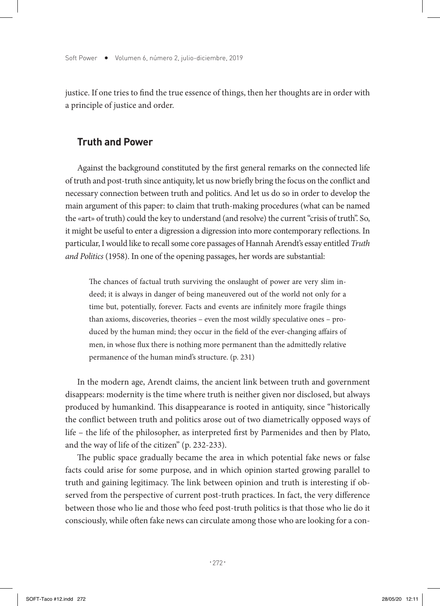justice. If one tries to find the true essence of things, then her thoughts are in order with a principle of justice and order.

## **Truth and Power**

Against the background constituted by the first general remarks on the connected life of truth and post-truth since antiquity, let us now briefly bring the focus on the conflict and necessary connection between truth and politics. And let us do so in order to develop the main argument of this paper: to claim that truth-making procedures (what can be named the «art» of truth) could the key to understand (and resolve) the current "crisis of truth". So, it might be useful to enter a digression a digression into more contemporary reflections. In particular, I would like to recall some core passages of Hannah Arendt's essay entitled *Truth and Politics* (1958). In one of the opening passages, her words are substantial:

The chances of factual truth surviving the onslaught of power are very slim indeed; it is always in danger of being maneuvered out of the world not only for a time but, potentially, forever. Facts and events are infinitely more fragile things than axioms, discoveries, theories – even the most wildly speculative ones – produced by the human mind; they occur in the field of the ever-changing affairs of men, in whose flux there is nothing more permanent than the admittedly relative permanence of the human mind's structure. (p. 231)

In the modern age, Arendt claims, the ancient link between truth and government disappears: modernity is the time where truth is neither given nor disclosed, but always produced by humankind. This disappearance is rooted in antiquity, since "historically the conflict between truth and politics arose out of two diametrically opposed ways of life – the life of the philosopher, as interpreted first by Parmenides and then by Plato, and the way of life of the citizen" (p. 232-233).

The public space gradually became the area in which potential fake news or false facts could arise for some purpose, and in which opinion started growing parallel to truth and gaining legitimacy. The link between opinion and truth is interesting if observed from the perspective of current post-truth practices. In fact, the very difference between those who lie and those who feed post-truth politics is that those who lie do it consciously, while often fake news can circulate among those who are looking for a con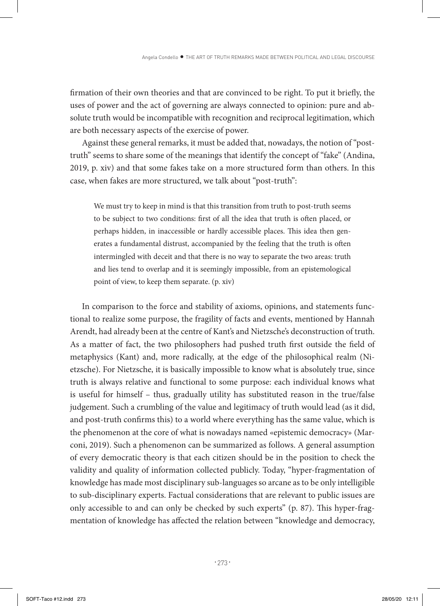firmation of their own theories and that are convinced to be right. To put it briefly, the uses of power and the act of governing are always connected to opinion: pure and absolute truth would be incompatible with recognition and reciprocal legitimation, which are both necessary aspects of the exercise of power.

Against these general remarks, it must be added that, nowadays, the notion of "posttruth" seems to share some of the meanings that identify the concept of "fake" (Andina, 2019, p. xiv) and that some fakes take on a more structured form than others. In this case, when fakes are more structured, we talk about "post-truth":

We must try to keep in mind is that this transition from truth to post-truth seems to be subject to two conditions: first of all the idea that truth is often placed, or perhaps hidden, in inaccessible or hardly accessible places. This idea then generates a fundamental distrust, accompanied by the feeling that the truth is often intermingled with deceit and that there is no way to separate the two areas: truth and lies tend to overlap and it is seemingly impossible, from an epistemological point of view, to keep them separate. (p. xiv)

In comparison to the force and stability of axioms, opinions, and statements functional to realize some purpose, the fragility of facts and events, mentioned by Hannah Arendt, had already been at the centre of Kant's and Nietzsche's deconstruction of truth. As a matter of fact, the two philosophers had pushed truth first outside the field of metaphysics (Kant) and, more radically, at the edge of the philosophical realm (Nietzsche). For Nietzsche, it is basically impossible to know what is absolutely true, since truth is always relative and functional to some purpose: each individual knows what is useful for himself – thus, gradually utility has substituted reason in the true/false judgement. Such a crumbling of the value and legitimacy of truth would lead (as it did, and post-truth confirms this) to a world where everything has the same value, which is the phenomenon at the core of what is nowadays named «epistemic democracy» (Marconi, 2019). Such a phenomenon can be summarized as follows. A general assumption of every democratic theory is that each citizen should be in the position to check the validity and quality of information collected publicly. Today, "hyper-fragmentation of knowledge has made most disciplinary sub-languages so arcane as to be only intelligible to sub-disciplinary experts. Factual considerations that are relevant to public issues are only accessible to and can only be checked by such experts" (p. 87). This hyper-fragmentation of knowledge has affected the relation between "knowledge and democracy,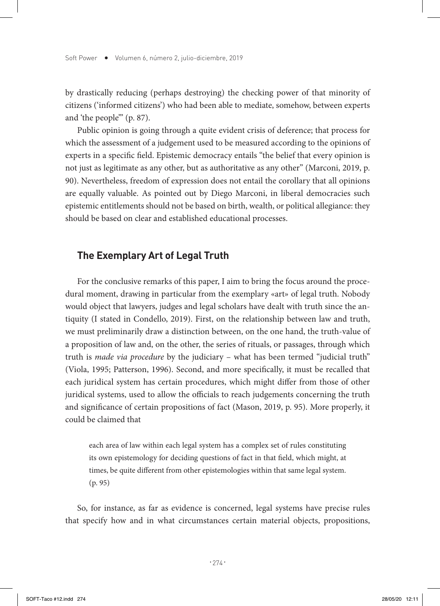by drastically reducing (perhaps destroying) the checking power of that minority of citizens ('informed citizens') who had been able to mediate, somehow, between experts and 'the people'" (p. 87).

Public opinion is going through a quite evident crisis of deference; that process for which the assessment of a judgement used to be measured according to the opinions of experts in a specific field. Epistemic democracy entails "the belief that every opinion is not just as legitimate as any other, but as authoritative as any other" (Marconi, 2019, p. 90). Nevertheless, freedom of expression does not entail the corollary that all opinions are equally valuable. As pointed out by Diego Marconi, in liberal democracies such epistemic entitlements should not be based on birth, wealth, or political allegiance: they should be based on clear and established educational processes.

## **The Exemplary Art of Legal Truth**

For the conclusive remarks of this paper, I aim to bring the focus around the procedural moment, drawing in particular from the exemplary «art» of legal truth. Nobody would object that lawyers, judges and legal scholars have dealt with truth since the antiquity (I stated in Condello, 2019). First, on the relationship between law and truth, we must preliminarily draw a distinction between, on the one hand, the truth-value of a proposition of law and, on the other, the series of rituals, or passages, through which truth is *made via procedure* by the judiciary – what has been termed "judicial truth" (Viola, 1995; Patterson, 1996). Second, and more specifically, it must be recalled that each juridical system has certain procedures, which might differ from those of other juridical systems, used to allow the officials to reach judgements concerning the truth and significance of certain propositions of fact (Mason, 2019, p. 95). More properly, it could be claimed that

each area of law within each legal system has a complex set of rules constituting its own epistemology for deciding questions of fact in that field, which might, at times, be quite different from other epistemologies within that same legal system. (p. 95)

So, for instance, as far as evidence is concerned, legal systems have precise rules that specify how and in what circumstances certain material objects, propositions,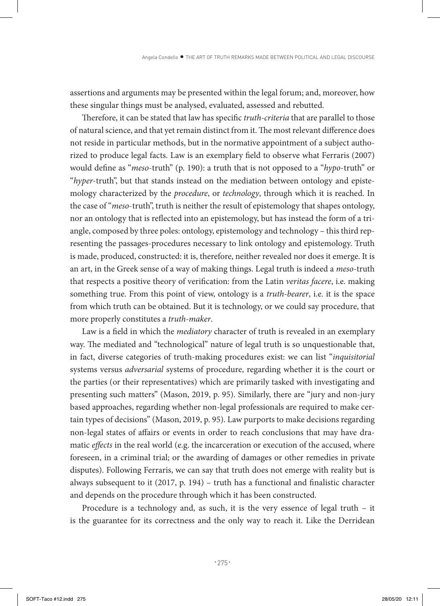assertions and arguments may be presented within the legal forum; and, moreover, how these singular things must be analysed, evaluated, assessed and rebutted.

Therefore, it can be stated that law has specific *truth-criteria* that are parallel to those of natural science, and that yet remain distinct from it. The most relevant difference does not reside in particular methods, but in the normative appointment of a subject authorized to produce legal facts. Law is an exemplary field to observe what Ferraris (2007) would define as "*meso*-truth" (p. 190): a truth that is not opposed to a "*hypo*-truth" or "*hyper*-truth", but that stands instead on the mediation between ontology and epistemology characterized by the *procedure*, or *technology*, through which it is reached. In the case of "*meso*-truth", truth is neither the result of epistemology that shapes ontology, nor an ontology that is reflected into an epistemology, but has instead the form of a triangle, composed by three poles: ontology, epistemology and technology – this third representing the passages-procedures necessary to link ontology and epistemology. Truth is made, produced, constructed: it is, therefore, neither revealed nor does it emerge. It is an art, in the Greek sense of a way of making things. Legal truth is indeed a *meso*-truth that respects a positive theory of verification: from the Latin *veritas facere*, i.e. making something true. From this point of view, ontology is a *truth-bearer*, i.e. it is the space from which truth can be obtained. But it is technology, or we could say procedure, that more properly constitutes a *truth-maker*.

Law is a field in which the *mediatory* character of truth is revealed in an exemplary way. The mediated and "technological" nature of legal truth is so unquestionable that, in fact, diverse categories of truth-making procedures exist: we can list "*inquisitorial* systems versus *adversarial* systems of procedure, regarding whether it is the court or the parties (or their representatives) which are primarily tasked with investigating and presenting such matters" (Mason, 2019, p. 95). Similarly, there are "jury and non-jury based approaches, regarding whether non-legal professionals are required to make certain types of decisions" (Mason, 2019, p. 95). Law purports to make decisions regarding non-legal states of affairs or events in order to reach conclusions that may have dramatic *effects* in the real world (e.g. the incarceration or execution of the accused, where foreseen, in a criminal trial; or the awarding of damages or other remedies in private disputes). Following Ferraris, we can say that truth does not emerge with reality but is always subsequent to it (2017, p. 194) – truth has a functional and finalistic character and depends on the procedure through which it has been constructed.

Procedure is a technology and, as such, it is the very essence of legal truth – it is the guarantee for its correctness and the only way to reach it. Like the Derridean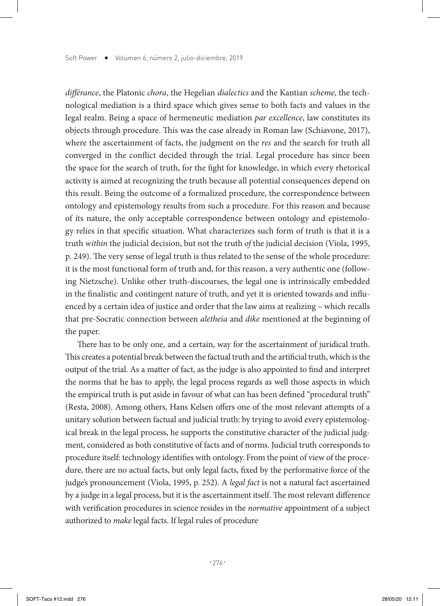*différance*, the Platonic *chora*, the Hegelian *dialectics* and the Kantian *scheme*, the technological mediation is a third space which gives sense to both facts and values in the legal realm. Being a space of hermeneutic mediation *par excellence*, law constitutes its objects through procedure. This was the case already in Roman law (Schiavone, 2017), where the ascertainment of facts, the judgment on the *res* and the search for truth all converged in the conflict decided through the trial. Legal procedure has since been the space for the search of truth, for the fight for knowledge, in which every rhetorical activity is aimed at recognizing the truth because all potential consequences depend on this result. Being the outcome of a formalized procedure, the correspondence between ontology and epistemology results from such a procedure. For this reason and because of its nature, the only acceptable correspondence between ontology and epistemology relies in that specific situation. What characterizes such form of truth is that it is a truth *within* the judicial decision, but not the truth *of* the judicial decision (Viola, 1995, p. 249). The very sense of legal truth is thus related to the sense of the whole procedure: it is the most functional form of truth and, for this reason, a very authentic one (following Nietzsche). Unlike other truth-discourses, the legal one is intrinsically embedded in the finalistic and contingent nature of truth, and yet it is oriented towards and influenced by a certain idea of justice and order that the law aims at realizing – which recalls that pre-Socratic connection between *aletheia* and *dike* mentioned at the beginning of the paper.

There has to be only one, and a certain, way for the ascertainment of juridical truth. This creates a potential break between the factual truth and the artificial truth, which is the output of the trial. As a matter of fact, as the judge is also appointed to find and interpret the norms that he has to apply, the legal process regards as well those aspects in which the empirical truth is put aside in favour of what can has been defined "procedural truth" (Resta, 2008). Among others, Hans Kelsen offers one of the most relevant attempts of a unitary solution between factual and judicial truth: by trying to avoid every epistemological break in the legal process, he supports the constitutive character of the judicial judgment, considered as both constitutive of facts and of norms. Judicial truth corresponds to procedure itself: technology identifies with ontology. From the point of view of the procedure, there are no actual facts, but only legal facts, fixed by the performative force of the judge's pronouncement (Viola, 1995, p. 252). A *legal fact* is not a natural fact ascertained by a judge in a legal process, but it is the ascertainment itself. The most relevant difference with verification procedures in science resides in the *normative* appointment of a subject authorized to *make* legal facts. If legal rules of procedure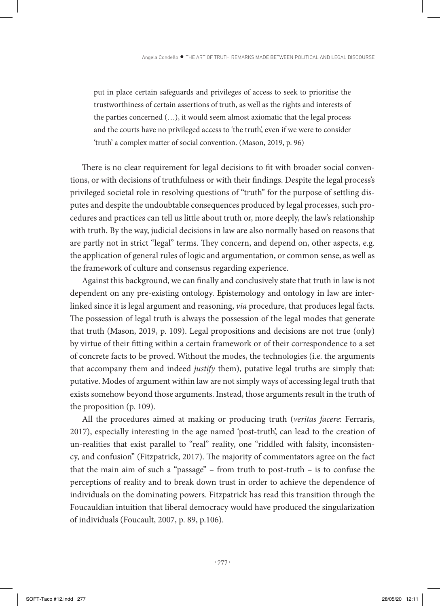put in place certain safeguards and privileges of access to seek to prioritise the trustworthiness of certain assertions of truth, as well as the rights and interests of the parties concerned (…), it would seem almost axiomatic that the legal process and the courts have no privileged access to 'the truth', even if we were to consider 'truth' a complex matter of social convention. (Mason, 2019, p. 96)

There is no clear requirement for legal decisions to fit with broader social conventions, or with decisions of truthfulness or with their findings. Despite the legal process's privileged societal role in resolving questions of "truth" for the purpose of settling disputes and despite the undoubtable consequences produced by legal processes, such procedures and practices can tell us little about truth or, more deeply, the law's relationship with truth. By the way, judicial decisions in law are also normally based on reasons that are partly not in strict "legal" terms. They concern, and depend on, other aspects, e.g. the application of general rules of logic and argumentation, or common sense, as well as the framework of culture and consensus regarding experience.

Against this background, we can finally and conclusively state that truth in law is not dependent on any pre-existing ontology. Epistemology and ontology in law are interlinked since it is legal argument and reasoning, *via* procedure, that produces legal facts. The possession of legal truth is always the possession of the legal modes that generate that truth (Mason, 2019, p. 109). Legal propositions and decisions are not true (only) by virtue of their fitting within a certain framework or of their correspondence to a set of concrete facts to be proved. Without the modes, the technologies (i.e. the arguments that accompany them and indeed *justify* them), putative legal truths are simply that: putative. Modes of argument within law are not simply ways of accessing legal truth that exists somehow beyond those arguments. Instead, those arguments result in the truth of the proposition (p. 109).

All the procedures aimed at making or producing truth (*veritas facere*: Ferraris, 2017), especially interesting in the age named 'post-truth', can lead to the creation of un-realities that exist parallel to "real" reality, one "riddled with falsity, inconsistency, and confusion" (Fitzpatrick, 2017). The majority of commentators agree on the fact that the main aim of such a "passage" – from truth to post-truth – is to confuse the perceptions of reality and to break down trust in order to achieve the dependence of individuals on the dominating powers. Fitzpatrick has read this transition through the Foucauldian intuition that liberal democracy would have produced the singularization of individuals (Foucault, 2007, p. 89, p.106).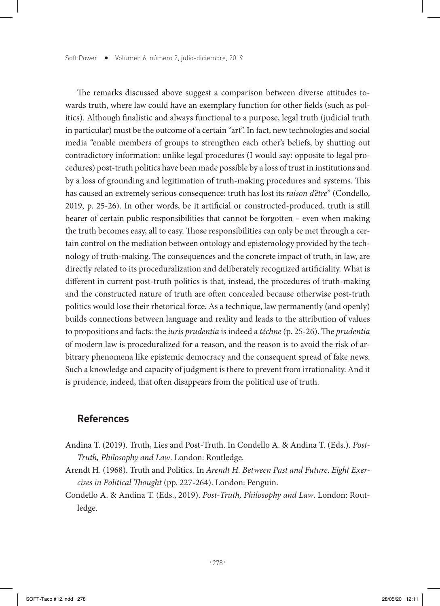The remarks discussed above suggest a comparison between diverse attitudes towards truth, where law could have an exemplary function for other fields (such as politics). Although finalistic and always functional to a purpose, legal truth (judicial truth in particular) must be the outcome of a certain "art". In fact, new technologies and social media "enable members of groups to strengthen each other's beliefs, by shutting out contradictory information: unlike legal procedures (I would say: opposite to legal procedures) post-truth politics have been made possible by a loss of trust in institutions and by a loss of grounding and legitimation of truth-making procedures and systems. This has caused an extremely serious consequence: truth has lost its *raison d'être*" (Condello, 2019, p. 25-26). In other words, be it artificial or constructed-produced, truth is still bearer of certain public responsibilities that cannot be forgotten – even when making the truth becomes easy, all to easy. Those responsibilities can only be met through a certain control on the mediation between ontology and epistemology provided by the technology of truth-making. The consequences and the concrete impact of truth, in law, are directly related to its proceduralization and deliberately recognized artificiality. What is different in current post-truth politics is that, instead, the procedures of truth-making and the constructed nature of truth are often concealed because otherwise post-truth politics would lose their rhetorical force. As a technique, law permanently (and openly) builds connections between language and reality and leads to the attribution of values to propositions and facts: the *iuris prudentia* is indeed a *téchne* (p. 25-26). The *prudentia* of modern law is proceduralized for a reason, and the reason is to avoid the risk of arbitrary phenomena like epistemic democracy and the consequent spread of fake news. Such a knowledge and capacity of judgment is there to prevent from irrationality. And it is prudence, indeed, that often disappears from the political use of truth.

#### **References**

- Andina T. (2019). Truth, Lies and Post-Truth. In Condello A. & Andina T. (Eds.). *Post-Truth, Philosophy and Law*. London: Routledge.
- Arendt H. (1968). Truth and Politics*.* In *Arendt H. Between Past and Future*. *Eight Exercises in Political Thought* (pp. 227-264). London: Penguin.
- Condello A. & Andina T. (Eds., 2019). *Post-Truth, Philosophy and Law*. London: Routledge.